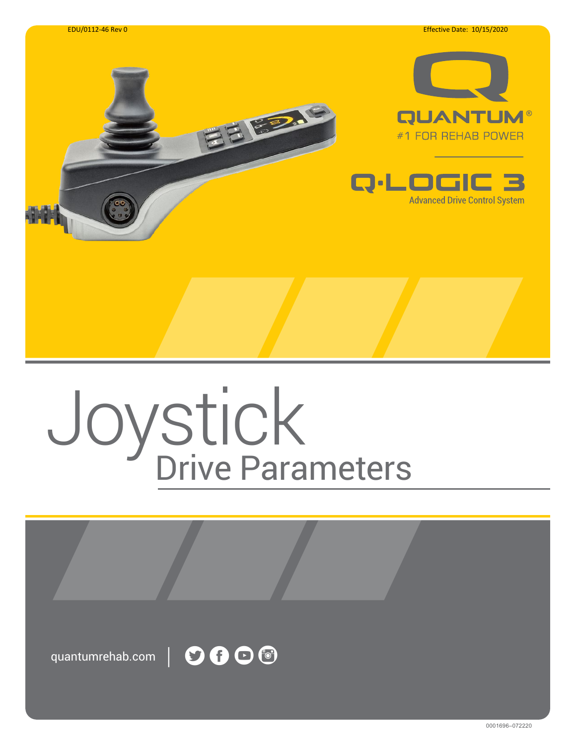

# Joystick Drive Parameters

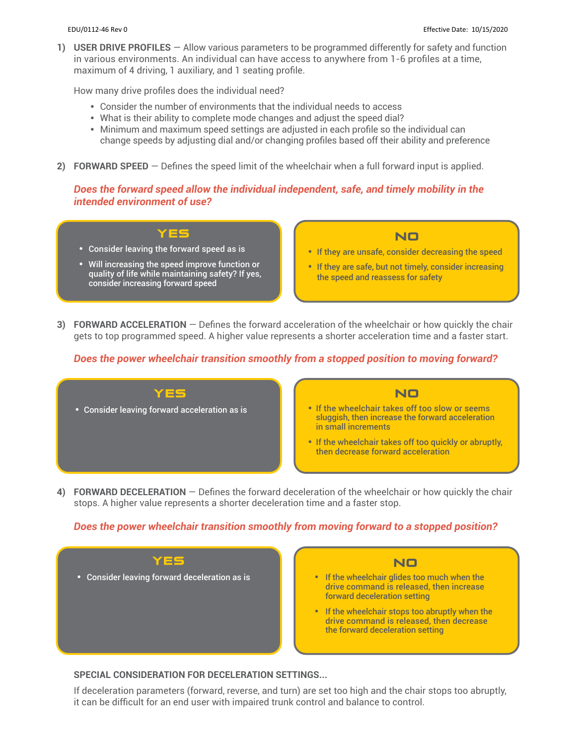**1) USER DRIVE PROFILES** — Allow various parameters to be programmed differently for safety and function in various environments. An individual can have access to anywhere from 1-6 profiles at a time, maximum of 4 driving, 1 auxiliary, and 1 seating profile.

How many drive profiles does the individual need?

- **•** Consider the number of environments that the individual needs to access
- **•** What is their ability to complete mode changes and adjust the speed dial?
- **•** Minimum and maximum speed settings are adjusted in each profile so the individual can change speeds by adjusting dial and/or changing profiles based off their ability and preference
- **2) FORWARD SPEED** Defines the speed limit of the wheelchair when a full forward input is applied.

#### *Does the forward speed allow the individual independent, safe, and timely mobility in the intended environment of use?*



- **•** Consider leaving the forward speed as is
- **•** Will increasing the speed improve function or quality of life while maintaining safety? If yes, consider increasing forward speed

# NO

- **•** If they are unsafe, consider decreasing the speed
- **•** If they are safe, but not timely, consider increasing the speed and reassess for safety
- **3) FORWARD ACCELERATION**  Defines the forward acceleration of the wheelchair or how quickly the chair gets to top programmed speed. A higher value represents a shorter acceleration time and a faster start.

# *Does the power wheelchair transition smoothly from a stopped position to moving forward?*



**4) FORWARD DECELERATION** — Defines the forward deceleration of the wheelchair or how quickly the chair stops. A higher value represents a shorter deceleration time and a faster stop.

# *Does the power wheelchair transition smoothly from moving forward to a stopped position?*



#### **SPECIAL CONSIDERATION FOR DECELERATION SETTINGS...**

If deceleration parameters (forward, reverse, and turn) are set too high and the chair stops too abruptly, it can be difficult for an end user with impaired trunk control and balance to control.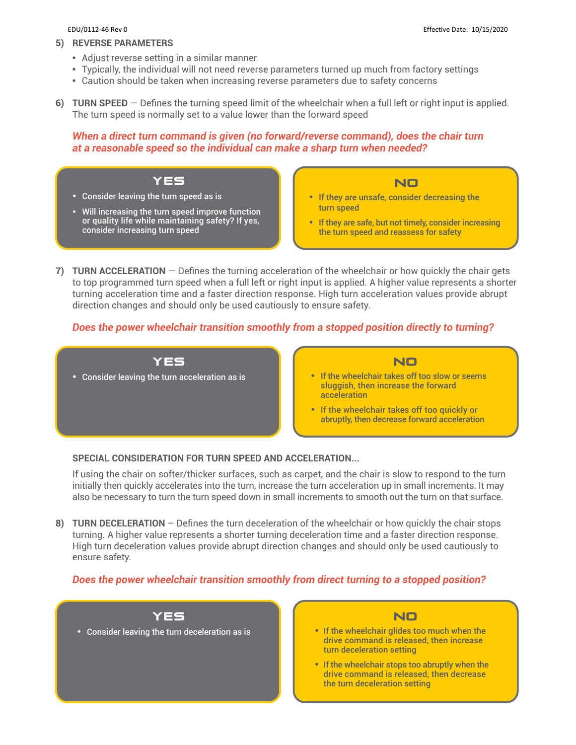#### **5) REVERSE PARAMETERS**

- **•** Adjust reverse setting in a similar manner
- **•** Typically, the individual will not need reverse parameters turned up much from factory settings
- **•** Caution should be taken when increasing reverse parameters due to safety concerns
- **6) TURN SPEED** Defines the turning speed limit of the wheelchair when a full left or right input is applied. The turn speed is normally set to a value lower than the forward speed

# *When a direct turn command is given (no forward/reverse command), does the chair turn at a reasonable speed so the individual can make a sharp turn when needed?*

- YES **•** Consider leaving the turn speed as is
- **•** Will increasing the turn speed improve function or quality life while maintaining safety? If yes, consider increasing turn speed

# NO

- **•** If they are unsafe, consider decreasing the turn speed
- **•** If they are safe, but not timely, consider increasing the turn speed and reassess for safety
- **7) TURN ACCELERATION** Defines the turning acceleration of the wheelchair or how quickly the chair gets to top programmed turn speed when a full left or right input is applied. A higher value represents a shorter turning acceleration time and a faster direction response. High turn acceleration values provide abrupt direction changes and should only be used cautiously to ensure safety.

# *Does the power wheelchair transition smoothly from a stopped position directly to turning?*



#### **SPECIAL CONSIDERATION FOR TURN SPEED AND ACCELERATION...**

If using the chair on softer/thicker surfaces, such as carpet, and the chair is slow to respond to the turn initially then quickly accelerates into the turn, increase the turn acceleration up in small increments. It may also be necessary to turn the turn speed down in small increments to smooth out the turn on that surface.

**8) TURN DECELERATION** – Defines the turn deceleration of the wheelchair or how quickly the chair stops turning. A higher value represents a shorter turning deceleration time and a faster direction response. High turn deceleration values provide abrupt direction changes and should only be used cautiously to ensure safety.

# *Does the power wheelchair transition smoothly from direct turning to a stopped position?*





- **•** If the wheelchair glides too much when the drive command is released, then increase turn deceleration setting
- **•** If the wheelchair stops too abruptly when the drive command is released, then decrease the turn deceleration setting